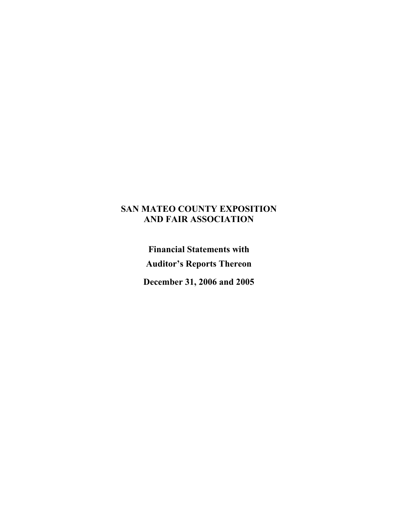## **SAN MATEO COUNTY EXPOSITION AND FAIR ASSOCIATION**

**Financial Statements with Auditor's Reports Thereon** 

**December 31, 2006 and 2005**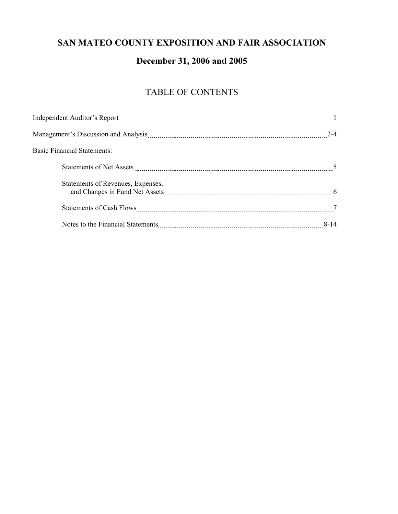## **SAN MATEO COUNTY EXPOSITION AND FAIR ASSOCIATION**

# **December 31, 2006 and 2005**

# TABLE OF CONTENTS

| <b>Basic Financial Statements:</b> |      |
|------------------------------------|------|
|                                    |      |
| Statements of Revenues, Expenses,  |      |
|                                    |      |
|                                    | 8-14 |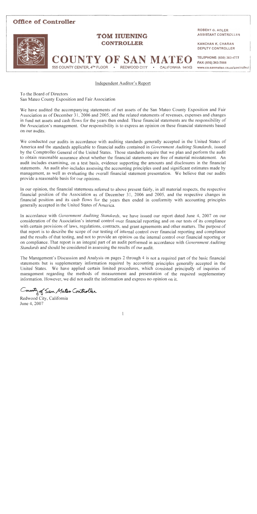

Independent Auditor's Report

To the Board of Directors San Mateo County Exposition and Fair Association

We have audited the accompanying statements of net assets of the San Mateo County Exposition and Fair Association as of December 31, 2006 and 2005, and the related statements of revenues, expenses and changes in fund net assets and cash flows for the years then ended. These financial statements are the responsibility of the Association's management. Our responsibility is to express an opinion on these financial statements based on our audits.

We conducted our audits in accordance with auditing standards generally accepted in the United States of America and the standards applicable to financial audits contained in Government Auditing Standards, issued by the Comptroller General of the United States. Those standards require that we plan and perform the audit to obtain reasonable assurance about whether the financial statements are free of material misstatement. An audit includes examining, on a test basis, evidence supporting the amounts and disclosures in the financial statements. An audit also includes assessing the accounting principles used and significant estimates made by management, as well as evaluating the overall financial statement presentation. We believe that our audits provide a reasonable basis for our opinions.

In our opinion, the financial statements referred to above present fairly, in all material respects, the respective financial position of the Association as of December 31, 2006 and 2005, and the respective changes in financial position and its cash flows for the years then ended in conformity with accounting principles generally accepted in the United States of America.

In accordance with *Government Auditing Standards*, we have issued our report dated June 4, 2007 on our consideration of the Association's internal control over financial reporting and on our tests of its compliance with certain provisions of laws, regulations, contracts, and grant agreements and other matters. The purpose of that report is to describe the scope of our testing of internal control over financial reporting and compliance and the results of that testing, and not to provide an opinion on the internal control over financial reporting or on compliance. That report is an integral part of an audit performed in accordance with Government Auditing Standards and should be considered in assessing the results of our audit.

The Management's Discussion and Analysis on pages 2 through 4 is not a required part of the basic financial statements but is supplementary information required by accounting principles generally accepted in the United States. We have applied certain limited procedures, which consisted principally of inquiries of management regarding the methods of measurement and presentation of the required supplementary information. However, we did not audit the information and express no opinion on it.

County of San Mateo Controller

Redwood City, California June 4, 2007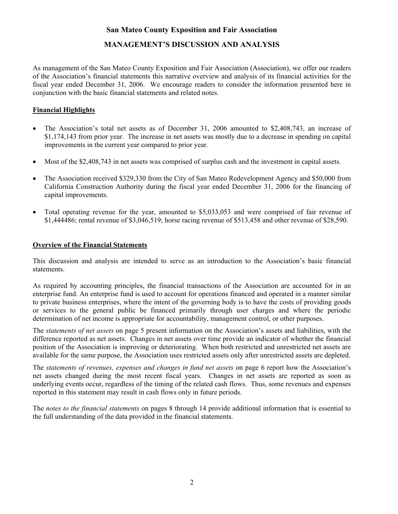## **San Mateo County Exposition and Fair Association**

## **MANAGEMENT'S DISCUSSION AND ANALYSIS**

As management of the San Mateo County Exposition and Fair Association (Association), we offer our readers of the Association's financial statements this narrative overview and analysis of its financial activities for the fiscal year ended December 31, 2006. We encourage readers to consider the information presented here in conjunction with the basic financial statements and related notes.

## **Financial Highlights**

- The Association's total net assets as of December 31, 2006 amounted to \$2,408,743, an increase of \$1,174,143 from prior year. The increase in net assets was mostly due to a decrease in spending on capital improvements in the current year compared to prior year.
- Most of the \$2,408,743 in net assets was comprised of surplus cash and the investment in capital assets.
- The Association received \$329,330 from the City of San Mateo Redevelopment Agency and \$50,000 from California Construction Authority during the fiscal year ended December 31, 2006 for the financing of capital improvements.
- Total operating revenue for the year, amounted to \$5,033,053 and were comprised of fair revenue of \$1,444486; rental revenue of \$3,046,519; horse racing revenue of \$513,458 and other revenue of \$28,590.

## **Overview of the Financial Statements**

This discussion and analysis are intended to serve as an introduction to the Association's basic financial statements.

As required by accounting principles, the financial transactions of the Association are accounted for in an enterprise fund. An enterprise fund is used to account for operations financed and operated in a manner similar to private business enterprises, where the intent of the governing body is to have the costs of providing goods or services to the general public be financed primarily through user charges and where the periodic determination of net income is appropriate for accountability, management control, or other purposes.

The *statements of net assets* on page 5 present information on the Association's assets and liabilities, with the difference reported as net assets. Changes in net assets over time provide an indicator of whether the financial position of the Association is improving or deteriorating. When both restricted and unrestricted net assets are available for the same purpose, the Association uses restricted assets only after unrestricted assets are depleted.

The *statements of revenues, expenses and changes in fund net assets* on page 6 report how the Association's net assets changed during the most recent fiscal years. Changes in net assets are reported as soon as underlying events occur, regardless of the timing of the related cash flows. Thus, some revenues and expenses reported in this statement may result in cash flows only in future periods.

The *notes to the financial statements* on pages 8 through 14 provide additional information that is essential to the full understanding of the data provided in the financial statements.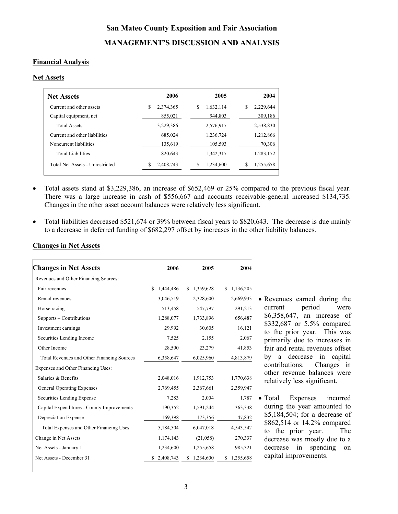# **San Mateo County Exposition and Fair Association MANAGEMENT'S DISCUSSION AND ANALYSIS**

## **Financial Analysis**

### **Net Assets**

| <b>Net Assets</b>               | 2006            | 2005           | 2004           |
|---------------------------------|-----------------|----------------|----------------|
| Current and other assets        | \$<br>2.374.365 | 1.632.114<br>S | 2.229.644<br>S |
| Capital equipment, net          | 855.021         | 944.803        | 309.186        |
| <b>Total Assets</b>             | 3.229.386       | 2.576.917      | 2.538.830      |
| Current and other liabilities   | 685.024         | 1.236.724      | 1.212.866      |
| Noncurrent liabilities          | 135.619         | 105.593        | 70.306         |
| Total Liabilities               | 820.643         | 1.342.317      | 1.283.172      |
| Total Net Assets - Unrestricted | S<br>2,408,743  | 1,234,600<br>S | S<br>1,255,658 |

• Total assets stand at \$3,229,386, an increase of \$652,469 or 25% compared to the previous fiscal year. There was a large increase in cash of \$556,667 and accounts receivable-general increased \$134,735. Changes in the other asset account balances were relatively less significant.

• Total liabilities decreased \$521,674 or 39% between fiscal years to \$820,643. The decrease is due mainly to a decrease in deferred funding of \$682,297 offset by increases in the other liability balances.

| <b>Changes in Net Assets</b>               | 2006             | 2005             | 2004            |
|--------------------------------------------|------------------|------------------|-----------------|
| Revenues and Other Financing Sources:      |                  |                  |                 |
| Fair revenues                              | \$.<br>1,444,486 | 1,359,628<br>\$. | 1,136,205<br>\$ |
| Rental revenues                            | 3,046,519        | 2,328,600        | 2,669,933       |
| Horse racing                               | 513,458          | 547,797          | 291,213         |
| Supports – Contributions                   | 1,288,077        | 1,733,896        | 656,487         |
| Investment earnings                        | 29,992           | 30,605           | 16,121          |
| Securities Lending Income                  | 7,525            | 2,155            | 2,067           |
| Other Income                               | 28,590           | 23,279           | 41,853          |
| Total Revenues and Other Financing Sources | 6,358,647        | 6,025,960        | 4,813,879       |
| Expenses and Other Financing Uses:         |                  |                  |                 |
| Salaries & Benefits                        | 2,048,016        | 1,912,753        | 1,770,638       |
| General Operating Expenses                 | 2,769,455        | 2,367,661        | 2,359,947       |
| Securities Lending Expense                 | 7,283            | 2,004            | 1,787           |
| Capital Expenditures - County Improvements | 190,352          | 1,591,244        | 363,338         |
| Depreciation Expense                       | 169,398          | 173,356          | 47,832          |
| Total Expenses and Other Financing Uses    | 5,184,504        | 6,047,018        | 4,543,542       |
| Change in Net Assets                       | 1,174,143        | (21,058)         | 270,337         |
| Net Assets - January 1                     | 1,234,600        | 1,255,658        | 985,321         |
| Net Assets - December 31                   | 2,408,743<br>S   | \$<br>1,234,600  | 1,255,658<br>S  |

**Changes in Net Assets**

• Revenues earned during the current period were \$6,358,647, an increase of \$332,687 or 5.5% compared to the prior year. This was primarily due to increases in fair and rental revenues offset by a decrease in capital contributions. Changes in other revenue balances were relatively less significant.

• Total Expenses incurred during the year amounted to \$5,184,504; for a decrease of \$862,514 or 14.2% compared to the prior year. The decrease was mostly due to a decrease in spending on capital improvements.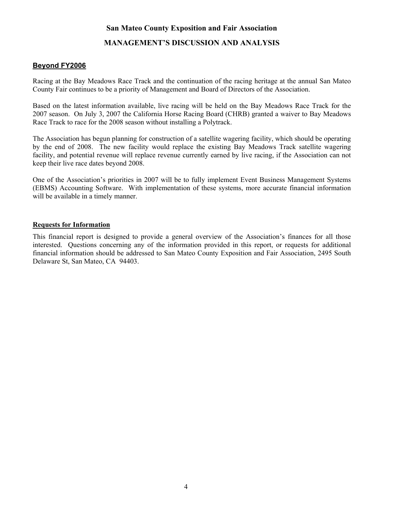## **San Mateo County Exposition and Fair Association**

## **MANAGEMENT'S DISCUSSION AND ANALYSIS**

## **Beyond FY2006**

Racing at the Bay Meadows Race Track and the continuation of the racing heritage at the annual San Mateo County Fair continues to be a priority of Management and Board of Directors of the Association.

Based on the latest information available, live racing will be held on the Bay Meadows Race Track for the 2007 season. On July 3, 2007 the California Horse Racing Board (CHRB) granted a waiver to Bay Meadows Race Track to race for the 2008 season without installing a Polytrack.

The Association has begun planning for construction of a satellite wagering facility, which should be operating by the end of 2008. The new facility would replace the existing Bay Meadows Track satellite wagering facility, and potential revenue will replace revenue currently earned by live racing, if the Association can not keep their live race dates beyond 2008.

One of the Association's priorities in 2007 will be to fully implement Event Business Management Systems (EBMS) Accounting Software. With implementation of these systems, more accurate financial information will be available in a timely manner.

## **Requests for Information**

This financial report is designed to provide a general overview of the Association's finances for all those interested. Questions concerning any of the information provided in this report, or requests for additional financial information should be addressed to San Mateo County Exposition and Fair Association, 2495 South Delaware St, San Mateo, CA 94403.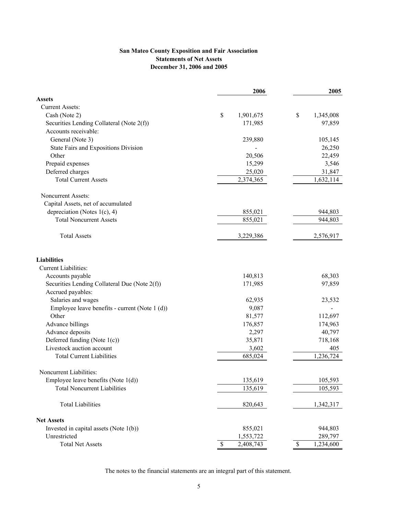## **San Mateo County Exposition and Fair Association Statements of Net Assets December 31, 2006 and 2005**

|                                                | 2006                      | 2005                       |
|------------------------------------------------|---------------------------|----------------------------|
| <b>Assets</b>                                  |                           |                            |
| <b>Current Assets:</b>                         |                           |                            |
| Cash (Note 2)                                  | \$<br>1,901,675           | \$<br>1,345,008            |
| Securities Lending Collateral (Note 2(f))      | 171,985                   | 97,859                     |
| Accounts receivable:                           |                           |                            |
| General (Note 3)                               | 239,880                   | 105,145                    |
| State Fairs and Expositions Division           |                           | 26,250                     |
| Other                                          | 20,506                    | 22,459                     |
| Prepaid expenses                               | 15,299                    | 3,546                      |
| Deferred charges                               | 25,020                    | 31,847                     |
| <b>Total Current Assets</b>                    | 2,374,365                 | 1,632,114                  |
| <b>Noncurrent Assets:</b>                      |                           |                            |
| Capital Assets, net of accumulated             |                           |                            |
| depreciation (Notes $1(c)$ , 4)                | 855,021                   | 944,803                    |
| <b>Total Noncurrent Assets</b>                 | 855,021                   | 944,803                    |
| <b>Total Assets</b>                            | 3,229,386                 | 2,576,917                  |
| <b>Liabilities</b>                             |                           |                            |
| Current Liabilities:                           |                           |                            |
| Accounts payable                               | 140,813                   | 68,303                     |
| Securities Lending Collateral Due (Note 2(f))  | 171,985                   | 97,859                     |
| Accrued payables:                              |                           |                            |
| Salaries and wages                             | 62,935                    | 23,532                     |
| Employee leave benefits - current (Note 1 (d)) | 9,087                     |                            |
| Other                                          | 81,577                    | 112,697                    |
| Advance billings                               | 176,857                   | 174,963                    |
| Advance deposits                               | 2,297                     | 40,797                     |
| Deferred funding (Note 1(c))                   | 35,871                    | 718,168                    |
| Livestock auction account                      | 3,602                     | 405                        |
| <b>Total Current Liabilities</b>               | 685,024                   | 1,236,724                  |
| Noncurrent Liabilities:                        |                           |                            |
| Employee leave benefits (Note $1(d)$ )         | 135,619                   | 105,593                    |
| <b>Total Noncurrent Liabilities</b>            | 135,619                   | 105,593                    |
| <b>Total Liabilities</b>                       | 820,643                   | 1,342,317                  |
| <b>Net Assets</b>                              |                           |                            |
| Invested in capital assets (Note $1(b)$ )      | 855,021                   | 944,803                    |
| Unrestricted                                   | 1,553,722                 | 289,797                    |
| <b>Total Net Assets</b>                        | $\mathbb{S}$<br>2,408,743 | $\mathcal{S}$<br>1,234,600 |

The notes to the financial statements are an integral part of this statement.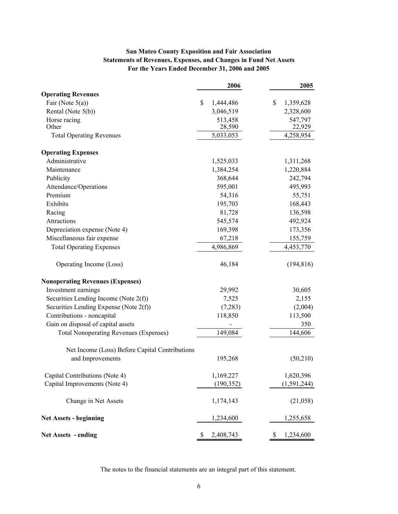## **San Mateo County Exposition and Fair Association Statements of Revenues, Expenses, and Changes in Fund Net Assets For the Years Ended December 31, 2006 and 2005**

|                                                | 2006            | 2005            |
|------------------------------------------------|-----------------|-----------------|
| <b>Operating Revenues</b>                      |                 |                 |
| Fair (Note $5(a)$ )                            | \$<br>1,444,486 | \$<br>1,359,628 |
| Rental (Note 5(b))                             | 3,046,519       | 2,328,600       |
| Horse racing                                   | 513,458         | 547,797         |
| Other                                          | 28,590          | 22,929          |
| <b>Total Operating Revenues</b>                | 5,033,053       | 4,258,954       |
| <b>Operating Expenses</b>                      |                 |                 |
| Administrative                                 | 1,525,033       | 1,311,268       |
| Maintenance                                    | 1,384,254       | 1,220,884       |
| Publicity                                      | 368,644         | 242,794         |
| Attendance/Operations                          | 595,001         | 495,993         |
| Premium                                        | 54,316          | 55,751          |
| Exhibits                                       | 195,703         | 168,443         |
| Racing                                         | 81,728          | 136,598         |
| Attractions                                    | 545,574         | 492,924         |
| Depreciation expense (Note 4)                  | 169,398         | 173,356         |
| Miscellaneous fair expense                     | 67,218          | 155,759         |
| <b>Total Operating Expenses</b>                | 4,986,869       | 4,453,770       |
| Operating Income (Loss)                        | 46,184          | (194, 816)      |
| <b>Nonoperating Revenues (Expenses)</b>        |                 |                 |
| Investment earnings                            | 29,992          | 30,605          |
| Securities Lending Income (Note $2(f)$ )       | 7,525           | 2,155           |
| Securities Lending Expense (Note 2(f))         | (7,283)         | (2,004)         |
| Contributions - noncapital                     | 118,850         | 113,500         |
| Gain on disposal of capital assets             |                 | 350             |
| <b>Total Nonoperating Revenues (Expenses)</b>  | 149,084         | 144,606         |
| Net Income (Loss) Before Capital Contributions |                 |                 |
| and Improvements                               | 195,268         | (50,210)        |
| Capital Contributions (Note 4)                 | 1,169,227       | 1,620,396       |
| Capital Improvements (Note 4)                  | (190, 352)      | (1, 591, 244)   |
| Change in Net Assets                           | 1,174,143       | (21,058)        |
| <b>Net Assets - beginning</b>                  | 1,234,600       | 1,255,658       |
| <b>Net Assets - ending</b>                     | 2,408,743<br>S  | 1,234,600<br>\$ |

The notes to the financial statements are an integral part of this statement.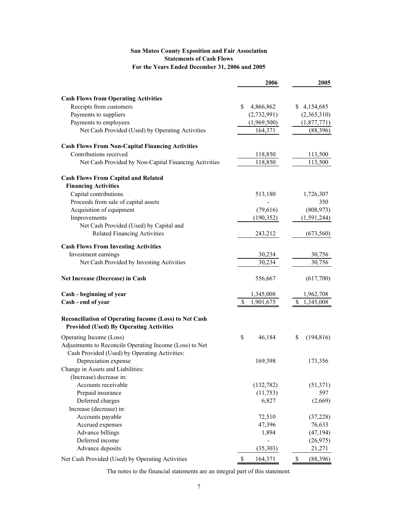## **San Mateo County Exposition and Fair Association Statements of Cash Flows For the Years Ended December 31, 2006 and 2005**

|                                                         | 2006            | 2005             |
|---------------------------------------------------------|-----------------|------------------|
| <b>Cash Flows from Operating Activities</b>             |                 |                  |
| Receipts from customers                                 | \$<br>4,866,862 | \$4,154,685      |
| Payments to suppliers                                   | (2,732,991)     | (2,365,310)      |
| Payments to employees                                   | (1,969,500)     | (1,877,771)      |
| Net Cash Provided (Used) by Operating Activities        | 164,371         | (88, 396)        |
|                                                         |                 |                  |
| <b>Cash Flows From Non-Capital Financing Activities</b> |                 |                  |
| Contributions received                                  | 118,850         | 113,500          |
| Net Cash Provided by Non-Capital Financing Activities   | 118,850         | 113,500          |
| <b>Cash Flows From Capital and Related</b>              |                 |                  |
| <b>Financing Activities</b>                             |                 |                  |
| Capital contributions                                   | 513,180         | 1,726,307        |
| Proceeds from sale of capital assets                    |                 | 350              |
| Acquisition of equipment                                | (79,616)        | (808, 973)       |
| Improvements                                            | (190, 352)      | (1, 591, 244)    |
| Net Cash Provided (Used) by Capital and                 |                 |                  |
| <b>Related Financing Activities</b>                     | 243,212         | (673, 560)       |
| <b>Cash Flows From Investing Activities</b>             |                 |                  |
| Investment earnings                                     | 30,234          | 30,756           |
| Net Cash Provided by Investing Activities               | 30,234          | 30,756           |
| Net Increase (Decrease) in Cash                         | 556,667         | (617,700)        |
| Cash - beginning of year                                | 1,345,008       | 1,962,708        |
| Cash - end of year                                      | \$<br>1,901,675 | \$1,345,008      |
| Reconciliation of Operating Income (Loss) to Net Cash   |                 |                  |
| <b>Provided (Used) By Operating Activities</b>          |                 |                  |
| Operating Income (Loss)                                 | \$<br>46,184    | \$<br>(194, 816) |
| Adjustments to Reconcile Operating Income (Loss) to Net |                 |                  |
| Cash Provided (Used) by Operating Activities:           |                 |                  |
| Depreciation expense                                    | 169,398         | 173,356          |
| Change in Assets and Liabilities.                       |                 |                  |
| (Increase) decrease in:                                 |                 |                  |
| Accounts receivable                                     | (132,782)       | (51, 371)        |
| Prepaid insurance                                       | (11, 753)       | 597              |
| Deferred charges                                        | 6,827           | (2,669)          |
| Increase (decrease) in:                                 |                 |                  |
| Accounts payable                                        | 72,510          | (37, 228)        |
| Accrued expenses                                        | 47,396          | 76,633           |
| Advance billings                                        | 1,894           | (47, 194)        |
| Deferred income                                         |                 | (26,975)         |
| Advance deposits                                        | (35,303)        | 21,271           |
| Net Cash Provided (Used) by Operating Activities        | \$<br>164,371   | \$<br>(88, 396)  |

The notes to the financial statements are an integral part of this statement.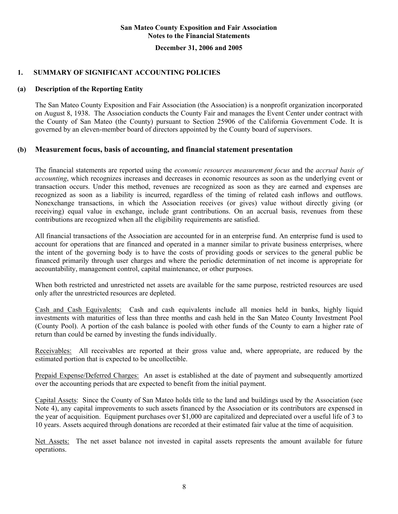#### **December 31, 2006 and 2005**

## **1. SUMMARY OF SIGNIFICANT ACCOUNTING POLICIES**

### **(a) Description of the Reporting Entity**

The San Mateo County Exposition and Fair Association (the Association) is a nonprofit organization incorporated on August 8, 1938. The Association conducts the County Fair and manages the Event Center under contract with the County of San Mateo (the County) pursuant to Section 25906 of the California Government Code. It is governed by an eleven-member board of directors appointed by the County board of supervisors.

## **(b) Measurement focus, basis of accounting, and financial statement presentation**

The financial statements are reported using the *economic resources measurement focus* and the *accrual basis of accounting*, which recognizes increases and decreases in economic resources as soon as the underlying event or transaction occurs. Under this method, revenues are recognized as soon as they are earned and expenses are recognized as soon as a liability is incurred, regardless of the timing of related cash inflows and outflows. Nonexchange transactions, in which the Association receives (or gives) value without directly giving (or receiving) equal value in exchange, include grant contributions. On an accrual basis, revenues from these contributions are recognized when all the eligibility requirements are satisfied.

All financial transactions of the Association are accounted for in an enterprise fund. An enterprise fund is used to account for operations that are financed and operated in a manner similar to private business enterprises, where the intent of the governing body is to have the costs of providing goods or services to the general public be financed primarily through user charges and where the periodic determination of net income is appropriate for accountability, management control, capital maintenance, or other purposes.

When both restricted and unrestricted net assets are available for the same purpose, restricted resources are used only after the unrestricted resources are depleted.

Cash and Cash Equivalents: Cash and cash equivalents include all monies held in banks, highly liquid investments with maturities of less than three months and cash held in the San Mateo County Investment Pool (County Pool). A portion of the cash balance is pooled with other funds of the County to earn a higher rate of return than could be earned by investing the funds individually.

Receivables: All receivables are reported at their gross value and, where appropriate, are reduced by the estimated portion that is expected to be uncollectible.

Prepaid Expense/Deferred Charges: An asset is established at the date of payment and subsequently amortized over the accounting periods that are expected to benefit from the initial payment.

Capital Assets: Since the County of San Mateo holds title to the land and buildings used by the Association (see Note 4), any capital improvements to such assets financed by the Association or its contributors are expensed in the year of acquisition. Equipment purchases over \$1,000 are capitalized and depreciated over a useful life of 3 to 10 years. Assets acquired through donations are recorded at their estimated fair value at the time of acquisition.

Net Assets: The net asset balance not invested in capital assets represents the amount available for future operations.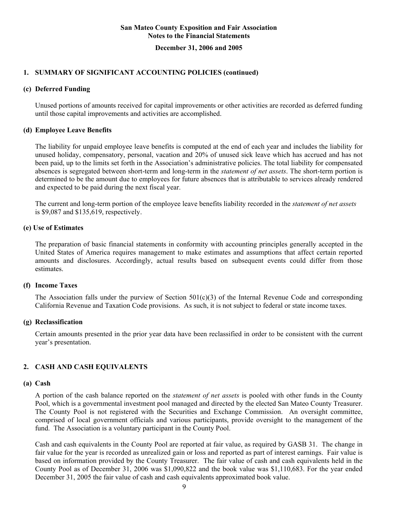### **December 31, 2006 and 2005**

## **1. SUMMARY OF SIGNIFICANT ACCOUNTING POLICIES (continued)**

## **(c) Deferred Funding**

Unused portions of amounts received for capital improvements or other activities are recorded as deferred funding until those capital improvements and activities are accomplished.

### **(d) Employee Leave Benefits**

The liability for unpaid employee leave benefits is computed at the end of each year and includes the liability for unused holiday, compensatory, personal, vacation and 20% of unused sick leave which has accrued and has not been paid, up to the limits set forth in the Association's administrative policies. The total liability for compensated absences is segregated between short-term and long-term in the *statement of net assets*. The short-term portion is determined to be the amount due to employees for future absences that is attributable to services already rendered and expected to be paid during the next fiscal year.

The current and long-term portion of the employee leave benefits liability recorded in the *statement of net assets* is \$9,087 and \$135,619, respectively.

### **(e) Use of Estimates**

The preparation of basic financial statements in conformity with accounting principles generally accepted in the United States of America requires management to make estimates and assumptions that affect certain reported amounts and disclosures. Accordingly, actual results based on subsequent events could differ from those estimates.

## **(f) Income Taxes**

The Association falls under the purview of Section  $501(c)(3)$  of the Internal Revenue Code and corresponding California Revenue and Taxation Code provisions. As such, it is not subject to federal or state income taxes.

### **(g) Reclassification**

Certain amounts presented in the prior year data have been reclassified in order to be consistent with the current year's presentation.

## **2. CASH AND CASH EQUIVALENTS**

### **(a) Cash**

A portion of the cash balance reported on the *statement of net assets* is pooled with other funds in the County Pool, which is a governmental investment pool managed and directed by the elected San Mateo County Treasurer. The County Pool is not registered with the Securities and Exchange Commission. An oversight committee, comprised of local government officials and various participants, provide oversight to the management of the fund. The Association is a voluntary participant in the County Pool.

Cash and cash equivalents in the County Pool are reported at fair value, as required by GASB 31. The change in fair value for the year is recorded as unrealized gain or loss and reported as part of interest earnings. Fair value is based on information provided by the County Treasurer. The fair value of cash and cash equivalents held in the County Pool as of December 31, 2006 was \$1,090,822 and the book value was \$1,110,683. For the year ended December 31, 2005 the fair value of cash and cash equivalents approximated book value.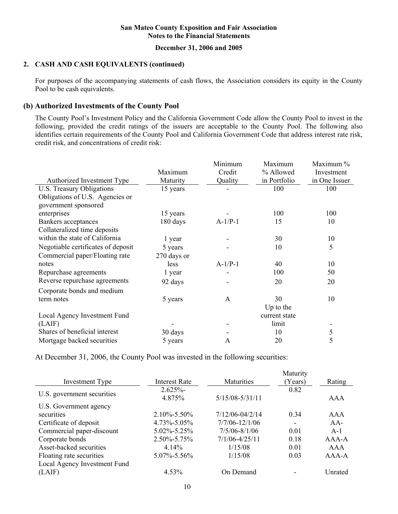## **December 31, 2006 and 2005**

## **2. CASH AND CASH EQUIVALENTS (continued)**

 For purposes of the accompanying statements of cash flows, the Association considers its equity in the County Pool to be cash equivalents.

## **(b) Authorized Investments of the County Pool**

The County Pool's Investment Policy and the California Government Code allow the County Pool to invest in the following, provided the credit ratings of the issuers are acceptable to the County Pool. The following also identifies certain requirements of the County Pool and California Government Code that address interest rate risk, credit risk, and concentrations of credit risk:

|                                    |             | Minimum   | Maximum       | Maximum %     |
|------------------------------------|-------------|-----------|---------------|---------------|
|                                    | Maximum     | Credit    | % Allowed     | Investment    |
| Authorized Investment Type         | Maturity    | Quality   | in Portfolio  | in One Issuer |
| U.S. Treasury Obligations          | 15 years    |           | 100           | 100           |
| Obligations of U.S. Agencies or    |             |           |               |               |
| government sponsored               |             |           |               |               |
| enterprises                        | 15 years    |           | 100           | 100           |
| <b>Bankers</b> acceptances         | 180 days    | $A-1/P-1$ | 15            | 10            |
| Collateralized time deposits       |             |           |               |               |
| within the state of California     | 1 year      |           | 30            | 10            |
| Negotiable certificates of deposit | 5 years     |           | 10            | 5             |
| Commercial paper/Floating rate     | 270 days or |           |               |               |
| notes                              | less        | $A-1/P-1$ | 40            | 10            |
| Repurchase agreements              | 1 year      |           | 100           | 50            |
| Reverse repurchase agreements      | 92 days     |           | 20            | 20            |
| Corporate bonds and medium         |             |           |               |               |
| term notes                         | 5 years     | A         | 30            | 10            |
|                                    |             |           | Up to the     |               |
| Local Agency Investment Fund       |             |           | current state |               |
| (LAIF)                             |             |           | limit         |               |
| Shares of beneficial interest      | 30 days     |           | 10            | 5             |
| Mortgage backed securities         | 5 years     | A         | 20            | 5             |

At December 31, 2006, the County Pool was invested in the following securities:

|                              |                      |                     | Maturity |             |
|------------------------------|----------------------|---------------------|----------|-------------|
| <b>Investment Type</b>       | <b>Interest Rate</b> | <b>Maturities</b>   | (Years)  | Rating      |
|                              | 2.625%               |                     | 0.82     |             |
| U.S. government securities   | 4.875%               | $5/15/08 - 5/31/11$ |          | AAA         |
| U.S. Government agency       |                      |                     |          |             |
| securities                   | $2.10\% - 5.50\%$    | 7/12/06-04/2/14     | 0.34     | AAA         |
| Certificate of deposit       | $4.73\% - 5.05\%$    | $7/7/06 - 12/1/06$  |          | $AA-$       |
| Commercial paper-discount    | 5.02%-5.25%          | $7/5/06 - 8/1/06$   | 0.01     | $A-1$       |
| Corporate bonds              | $2.50\% - 5.75\%$    | $7/1/06 - 4/25/11$  | 0.18     | $A A A - A$ |
| Asset-backed securities      | $4.14\%$             | 1/15/08             | 0.01     | AAA         |
| Floating rate securities     | 5.07%-5.56%          | 1/15/08             | 0.03     | $AAA-A$     |
| Local Agency Investment Fund |                      |                     |          |             |
| (LAIF)                       | 4.53%                | On Demand           |          | Unrated     |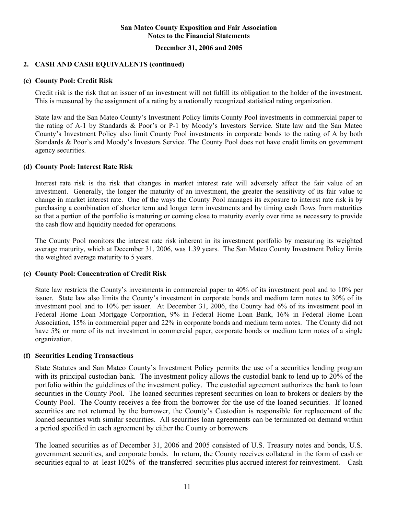### **December 31, 2006 and 2005**

## **2. CASH AND CASH EQUIVALENTS (continued)**

### **(c) County Pool: Credit Risk**

Credit risk is the risk that an issuer of an investment will not fulfill its obligation to the holder of the investment. This is measured by the assignment of a rating by a nationally recognized statistical rating organization*.*

State law and the San Mateo County's Investment Policy limits County Pool investments in commercial paper to the rating of A-1 by Standards & Poor's or P-1 by Moody's Investors Service. State law and the San Mateo County's Investment Policy also limit County Pool investments in corporate bonds to the rating of A by both Standards & Poor's and Moody's Investors Service. The County Pool does not have credit limits on government agency securities.

#### **(d) County Pool: Interest Rate Risk**

Interest rate risk is the risk that changes in market interest rate will adversely affect the fair value of an investment. Generally, the longer the maturity of an investment, the greater the sensitivity of its fair value to change in market interest rate. One of the ways the County Pool manages its exposure to interest rate risk is by purchasing a combination of shorter term and longer term investments and by timing cash flows from maturities so that a portion of the portfolio is maturing or coming close to maturity evenly over time as necessary to provide the cash flow and liquidity needed for operations*.* 

The County Pool monitors the interest rate risk inherent in its investment portfolio by measuring its weighted average maturity, which at December 31, 2006, was 1.39 years. The San Mateo County Investment Policy limits the weighted average maturity to 5 years.

### **(e) County Pool: Concentration of Credit Risk**

State law restricts the County's investments in commercial paper to 40% of its investment pool and to 10% per issuer. State law also limits the County's investment in corporate bonds and medium term notes to 30% of its investment pool and to 10% per issuer. At December 31, 2006, the County had 6% of its investment pool in Federal Home Loan Mortgage Corporation, 9% in Federal Home Loan Bank, 16% in Federal Home Loan Association, 15% in commercial paper and 22% in corporate bonds and medium term notes. The County did not have 5% or more of its net investment in commercial paper, corporate bonds or medium term notes of a single organization.

### **(f) Securities Lending Transactions**

State Statutes and San Mateo County's Investment Policy permits the use of a securities lending program with its principal custodian bank. The investment policy allows the custodial bank to lend up to 20% of the portfolio within the guidelines of the investment policy. The custodial agreement authorizes the bank to loan securities in the County Pool. The loaned securities represent securities on loan to brokers or dealers by the County Pool. The County receives a fee from the borrower for the use of the loaned securities. If loaned securities are not returned by the borrower, the County's Custodian is responsible for replacement of the loaned securities with similar securities. All securities loan agreements can be terminated on demand within a period specified in each agreement by either the County or borrowers

The loaned securities as of December 31, 2006 and 2005 consisted of U.S. Treasury notes and bonds, U.S. government securities, and corporate bonds. In return, the County receives collateral in the form of cash or securities equal to at least 102% of the transferred securities plus accrued interest for reinvestment. Cash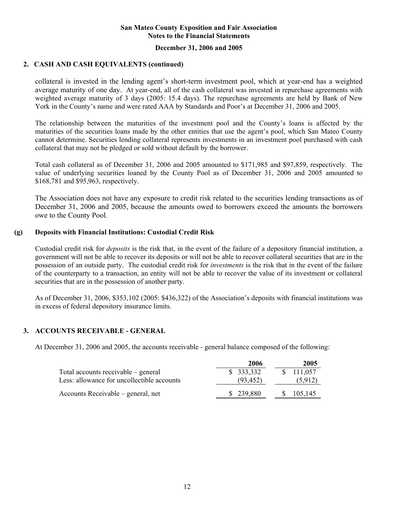### **December 31, 2006 and 2005**

## **2. CASH AND CASH EQUIVALENTS (continued)**

collateral is invested in the lending agent's short-term investment pool, which at year-end has a weighted average maturity of one day. At year-end, all of the cash collateral was invested in repurchase agreements with weighted average maturity of 3 days (2005: 15.4 days). The repurchase agreements are held by Bank of New York in the County's name and were rated AAA by Standards and Poor's at December 31, 2006 and 2005.

The relationship between the maturities of the investment pool and the County's loans is affected by the maturities of the securities loans made by the other entities that use the agent's pool, which San Mateo County cannot determine. Securities lending collateral represents investments in an investment pool purchased with cash collateral that may not be pledged or sold without default by the borrower.

Total cash collateral as of December 31, 2006 and 2005 amounted to \$171,985 and \$97,859, respectively. The value of underlying securities loaned by the County Pool as of December 31, 2006 and 2005 amounted to \$168,781 and \$95,963, respectively.

The Association does not have any exposure to credit risk related to the securities lending transactions as of December 31, 2006 and 2005, because the amounts owed to borrowers exceed the amounts the borrowers owe to the County Pool.

### **(g) Deposits with Financial Institutions: Custodial Credit Risk**

Custodial credit risk for *deposits* is the risk that, in the event of the failure of a depository financial institution, a government will not be able to recover its deposits or will not be able to recover collateral securities that are in the possession of an outside party. The custodial credit risk for *investments* is the risk that in the event of the failure of the counterparty to a transaction, an entity will not be able to recover the value of its investment or collateral securities that are in the possession of another party.

As of December 31, 2006, \$353,102 (2005: \$436,322) of the Association's deposits with financial institutions was in excess of federal depository insurance limits.

## **3. ACCOUNTS RECEIVABLE - GENERAL**

At December 31, 2006 and 2005, the accounts receivable - general balance composed of the following:

|                                            | 2006      | 2005                     |
|--------------------------------------------|-----------|--------------------------|
| Total accounts receivable – general        | \$333,332 | 111,057<br>$\mathcal{S}$ |
| Less: allowance for uncollectible accounts | (93, 452) | (5.912)                  |
| Accounts Receivable – general, net         | \$239,880 | 105,145<br>S.            |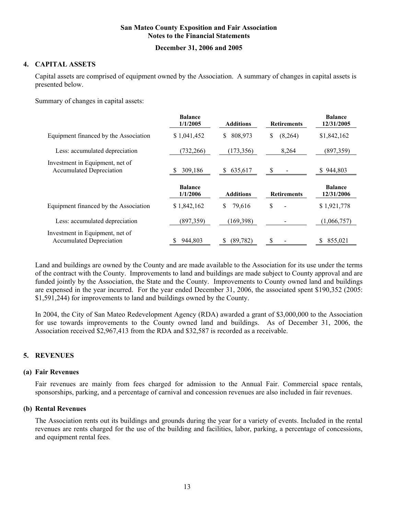## **December 31, 2006 and 2005**

## **4. CAPITAL ASSETS**

Capital assets are comprised of equipment owned by the Association. A summary of changes in capital assets is presented below.

Summary of changes in capital assets:

|                                                                    | <b>Balance</b><br>1/1/2005 | <b>Additions</b> | <b>Retirements</b> | <b>Balance</b><br>12/31/2005 |
|--------------------------------------------------------------------|----------------------------|------------------|--------------------|------------------------------|
| Equipment financed by the Association                              | \$1,041,452                | 808,973<br>S.    | (8,264)<br>\$      | \$1,842,162                  |
| Less: accumulated depreciation                                     | (732, 266)                 | (173, 356)       | 8,264              | (897, 359)                   |
| Investment in Equipment, net of<br><b>Accumulated Depreciation</b> | 309,186                    | 635,617<br>S.    | -S                 | \$944,803                    |
|                                                                    |                            |                  |                    |                              |
|                                                                    | <b>Balance</b><br>1/1/2006 | <b>Additions</b> | <b>Retirements</b> | <b>Balance</b><br>12/31/2006 |
| Equipment financed by the Association                              | \$1,842,162                | 79,616<br>S      | \$                 | \$1,921,778                  |
| Less: accumulated depreciation                                     | (897, 359)                 | (169, 398)       |                    | (1,066,757)                  |

Land and buildings are owned by the County and are made available to the Association for its use under the terms of the contract with the County. Improvements to land and buildings are made subject to County approval and are funded jointly by the Association, the State and the County. Improvements to County owned land and buildings are expensed in the year incurred. For the year ended December 31, 2006, the associated spent \$190,352 (2005: \$1,591,244) for improvements to land and buildings owned by the County.

In 2004, the City of San Mateo Redevelopment Agency (RDA) awarded a grant of \$3,000,000 to the Association for use towards improvements to the County owned land and buildings. As of December 31, 2006, the Association received \$2,967,413 from the RDA and \$32,587 is recorded as a receivable.

## **5. REVENUES**

#### **(a) Fair Revenues**

Fair revenues are mainly from fees charged for admission to the Annual Fair. Commercial space rentals, sponsorships, parking, and a percentage of carnival and concession revenues are also included in fair revenues.

### **(b) Rental Revenues**

The Association rents out its buildings and grounds during the year for a variety of events. Included in the rental revenues are rents charged for the use of the building and facilities, labor, parking, a percentage of concessions, and equipment rental fees.